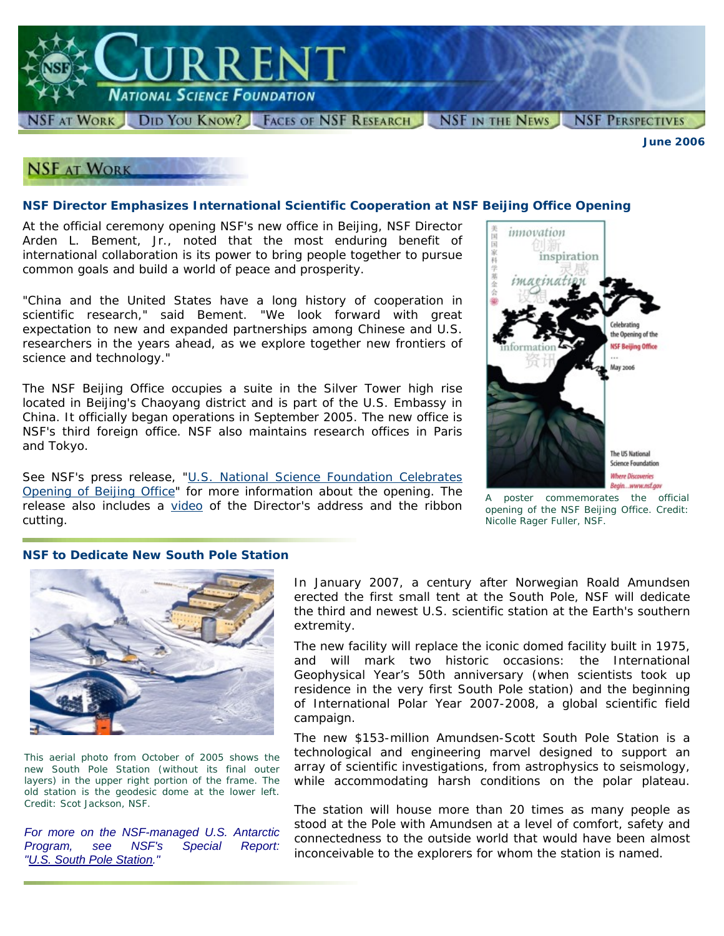

*June 2006*

# **NSF AT WORK**

#### **NSF Director Emphasizes International Scientific Cooperation at NSF Beijing Office Opening**

At the official ceremony opening NSF's new office in Beijing, NSF Director Arden L. Bement, Jr., noted that the most enduring benefit of international collaboration is its power to bring people together to pursue common goals and build a world of peace and prosperity.

"China and the United States have a long history of cooperation in scientific research," said Bement. "We look forward with great expectation to new and expanded partnerships among Chinese and U.S. researchers in the years ahead, as we explore together new frontiers of science and technology."

The NSF Beijing Office occupies a suite in the Silver Tower high rise located in Beijing's Chaoyang district and is part of the U.S. Embassy in China. It officially began operations in September 2005. The new office is NSF's third foreign office. NSF also maintains research offices in Paris and Tokyo.

See NSF's press release, ["U.S. National Science Foundation Celebrates](http://www.nsf.gov/news/news_summ.jsp?cntn_id=107006) [Opening of Beijing Office](http://www.nsf.gov/news/news_summ.jsp?cntn_id=107006)" for more information about the opening. The release also includes a [video](http://www.nsf.gov/news/news_videos.jsp?cntn_id=107006&media_id=58489) of the Director's address and the ribbon cutting.



*A poster commemorates the official opening of the NSF Beijing Office. Credit: Nicolle Rager Fuller, NSF.*

#### **NSF to Dedicate New South Pole Station**



*This aerial photo from October of 2005 shows the new South Pole Station (without its final outer layers) in the upper right portion of the frame. The old station is the geodesic dome at the lower left. Credit: Scot Jackson, NSF.*

*For more on the NSF-managed U.S. Antarctic Program, see NSF's Special Report: ["U.S. South Pole Station](http://www.nsf.gov/news/special_reports/livingsouthpole/index.jsp)."*

In January 2007, a century after Norwegian Roald Amundsen erected the first small tent at the South Pole, NSF will dedicate the third and newest U.S. scientific station at the Earth's southern extremity.

The new facility will replace the iconic domed facility built in 1975, and will mark two historic occasions: the International Geophysical Year's 50th anniversary (when scientists took up residence in the very first South Pole station) and the beginning of International Polar Year 2007-2008, a global scientific field campaign.

The new \$153-million Amundsen-Scott South Pole Station is a technological and engineering marvel designed to support an array of scientific investigations, from astrophysics to seismology, while accommodating harsh conditions on the polar plateau.

The station will house more than 20 times as many people as stood at the Pole with Amundsen at a level of comfort, safety and connectedness to the outside world that would have been almost inconceivable to the explorers for whom the station is named.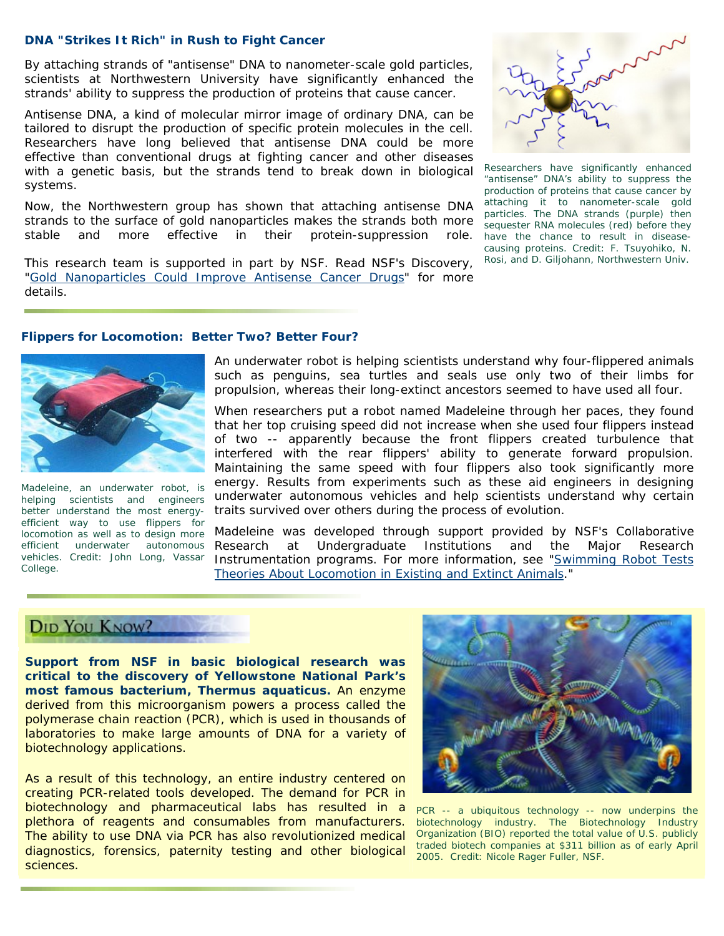#### **DNA "Strikes It Rich" in Rush to Fight Cancer**

By attaching strands of "antisense" DNA to nanometer-scale gold particles, scientists at Northwestern University have significantly enhanced the strands' ability to suppress the production of proteins that cause cancer.

Antisense DNA, a kind of molecular mirror image of ordinary DNA, can be tailored to disrupt the production of specific protein molecules in the cell. Researchers have long believed that antisense DNA could be more effective than conventional drugs at fighting cancer and other diseases with a genetic basis, but the strands tend to break down in biological systems.

Now, the Northwestern group has shown that attaching antisense DNA strands to the surface of gold nanoparticles makes the strands both more stable and more effective in their protein-suppression role.

This research team is supported in part by NSF. Read NSF's Discovery, ["Gold Nanoparticles Could Improve Antisense Cancer Drugs](http://www.nsf.gov/news/news_summ.jsp?cntn_id=106998)" for more details.



*Researchers have significantly enhanced "antisense" DNA's ability to suppress the production of proteins that cause cancer by attaching it to nanometer-scale gold particles. The DNA strands (purple) then sequester RNA molecules (red) before they have the chance to result in diseasecausing proteins. Credit: F. Tsuyohiko, N. Rosi, and D. Giljohann, Northwestern Univ.*

#### **Flippers for Locomotion: Better Two? Better Four?**



*Madeleine, an underwater robot, is helping scientists and engineers better understand the most energyefficient way to use flippers for efficient underwater autonomous vehicles. Credit: John Long, Vassar College.*

An underwater robot is helping scientists understand why four-flippered animals such as penguins, sea turtles and seals use only two of their limbs for propulsion, whereas their long-extinct ancestors seemed to have used all four.

When researchers put a robot named Madeleine through her paces, they found that her top cruising speed did not increase when she used four flippers instead of two -- apparently because the front flippers created turbulence that interfered with the rear flippers' ability to generate forward propulsion. Maintaining the same speed with four flippers also took significantly more energy. Results from experiments such as these aid engineers in designing underwater autonomous vehicles and help scientists understand why certain traits survived over others during the process of evolution.

*locomotion as well as to design more*  Madeleine was developed through support provided by NSF's Collaborative at Undergraduate Institutions and the Major Research Instrumentation programs. For more information, see "[Swimming Robot Tests](http://www.nsf.gov/discoveries/disc_summ.jsp?cntn_id=107009)  [Theories About Locomotion in Existing and Extinct Animals.](http://www.nsf.gov/discoveries/disc_summ.jsp?cntn_id=107009)"

## DID YOU KNOW?

**Support from NSF in basic biological research was critical to the discovery of Yellowstone National Park's most famous bacterium,** *Thermus aquaticus***.** An enzyme derived from this microorganism powers a process called the polymerase chain reaction (PCR), which is used in thousands of laboratories to make large amounts of DNA for a variety of biotechnology applications.

As a result of this technology, an entire industry centered on creating PCR-related tools developed. The demand for PCR in biotechnology and pharmaceutical labs has resulted in a plethora of reagents and consumables from manufacturers. The ability to use DNA via PCR has also revolutionized medical diagnostics, forensics, paternity testing and other biological sciences.



*PCR -- a ubiquitous technology -- now underpins the biotechnology industry. The Biotechnology Industry Organization (BIO) reported the total value of U.S. publicly traded biotech companies at \$311 billion as of early April 2005. Credit: Nicole Rager Fuller, NSF.*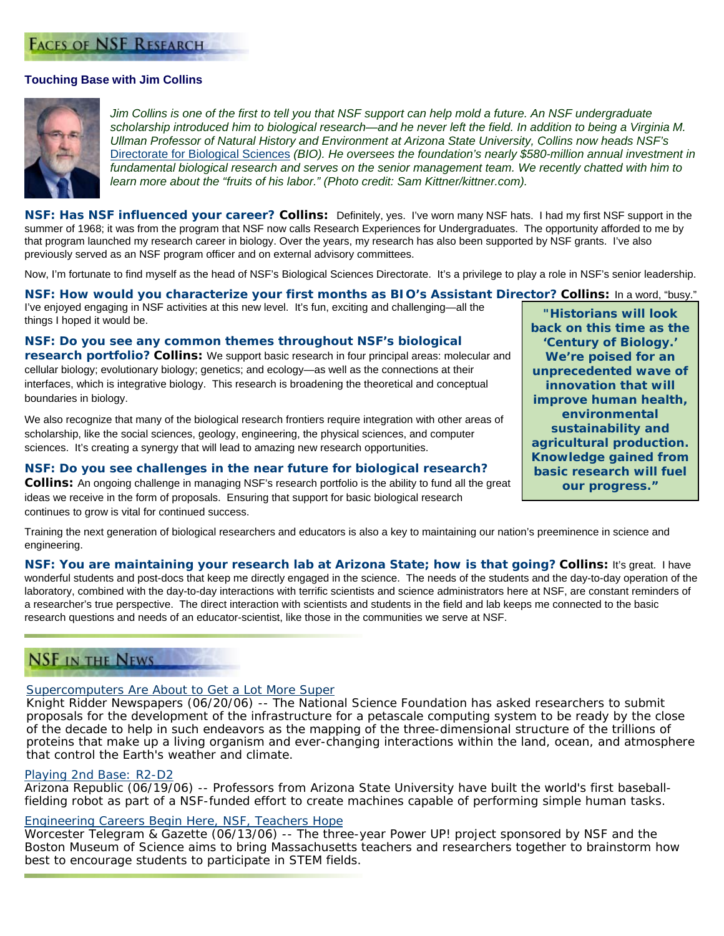## **FACES OF NSF RESEARCH**

#### **Touching Base with Jim Collins**



*Jim Collins is one of the first to tell you that NSF support can help mold a future. An NSF undergraduate scholarship introduced him to biological research—and he never left the field. In addition to being a Virginia M. Ullman Professor of Natural History and Environment at Arizona State University, Collins now heads NSF's*  [Directorate for Biological Sciences](http://www.nsf.gov/dir/index.jsp?org=BIO) *(BIO). He oversees the foundation's nearly \$580-million annual investment in fundamental biological research and serves on the senior management team. We recently chatted with him to learn more about the "fruits of his labor." (Photo credit: Sam Kittner/kittner.com).*

*NSF: Has NSF influenced your career?* **Collins:** Definitely, yes. I've worn many NSF hats. I had my first NSF support in the summer of 1968; it was from the program that NSF now calls Research Experiences for Undergraduates. The opportunity afforded to me by that program launched my research career in biology. Over the years, my research has also been supported by NSF grants. I've also previously served as an NSF program officer and on external advisory committees.

Now, I'm fortunate to find myself as the head of NSF's Biological Sciences Directorate. It's a privilege to play a role in NSF's senior leadership.

*NSF: How would you characterize your first months as BIO's Assistant Director?* **Collins:** In a word, "busy."

I've enjoyed engaging in NSF activities at this new level. It's fun, exciting and challenging—all the *Historians will look*<br>things I hoped it would be.

#### *NSF: Do you see any common themes throughout NSF's biological*

*research portfolio?* **Collins:** We support basic research in four principal areas: molecular and cellular biology; evolutionary biology; genetics; and ecology—as well as the connections at their interfaces, which is integrative biology. This research is broadening the theoretical and conceptual boundaries in biology.

We also recognize that many of the biological research frontiers require integration with other areas of scholarship, like the social sciences, geology, engineering, the physical sciences, and computer sciences. It's creating a synergy that will lead to amazing new research opportunities.

*NSF: Do you see challenges in the near future for biological research?* **Collins:** An ongoing challenge in managing NSF's research portfolio is the ability to fund all the great ideas we receive in the form of proposals. Ensuring that support for basic biological research continues to grow is vital for continued success.

*back on this time as the 'Century of Biology.' We're poised for an unprecedented wave of innovation that will improve human health, environmental sustainability and agricultural production. Knowledge gained from basic research will fuel our progress."*

Training the next generation of biological researchers and educators is also a key to maintaining our nation's preeminence in science and engineering.

*NSF: You are maintaining your research lab at Arizona State; how is that going?* **Collins:** It's great. I have wonderful students and post-docs that keep me directly engaged in the science. The needs of the students and the day-to-day operation of the laboratory, combined with the day-to-day interactions with terrific scientists and science administrators here at NSF, are constant reminders of a researcher's true perspective. The direct interaction with scientists and students in the field and lab keeps me connected to the basic research questions and needs of an educator-scientist, like those in the communities we serve at NSF.

## **NSF IN THE NEWS**

#### [Supercomputers Are About to Get a Lot More Super](http://www.mercurynews.com/mld/mercurynews/news/politics/14862214.htm)

*Knight Ridder Newspapers (06/20/06) --* The National Science Foundation has asked researchers to submit proposals for the development of the infrastructure for a petascale computing system to be ready by the close of the decade to help in such endeavors as the mapping of the three-dimensional structure of the trillions of proteins that make up a living organism and ever-changing interactions within the land, ocean, and atmosphere that control the Earth's weather and climate.

#### [Playing 2nd Base: R2-D2](http://www.azcentral.com/arizonarepublic/opinions/articles/0619mon2-19.html)

*Arizona Republic (06/19/06) --* Professors from Arizona State University have built the world's first baseballfielding robot as part of a NSF-funded effort to create machines capable of performing simple human tasks.

#### [Engineering Careers Begin Here, NSF, Teachers Hope](http://www.telegram.com/apps/pbcs.dll/article?AID=/20060613/NEWS/606130366&SearchID=73247552293729)

*Worcester Telegram & Gazette (06/13/06)* -- The three-year Power UP! project sponsored by NSF and the Boston Museum of Science aims to bring Massachusetts teachers and researchers together to brainstorm how best to encourage students to participate in STEM fields.